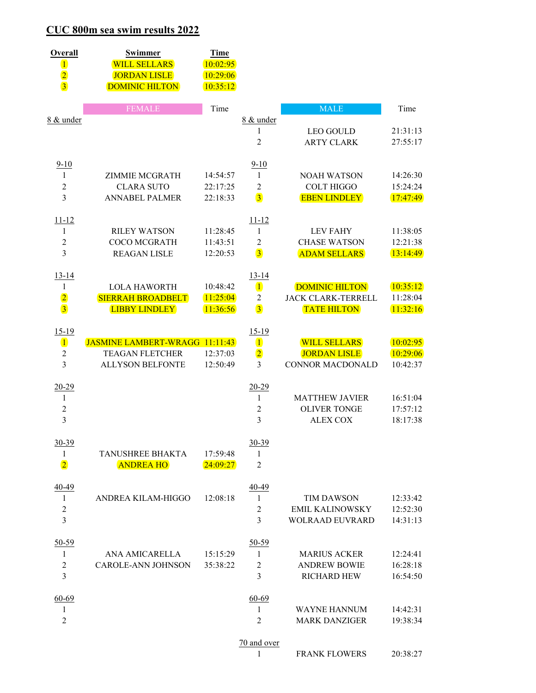## CUC 800m sea swim results 2022

| Overall<br>$\mathbf 1$<br>$\frac{2}{3}$                   | <b>Swimmer</b><br><b>WILL SELLARS</b><br><b>JORDAN LISLE</b><br><b>DOMINIC HILTON</b> | <b>Time</b><br>10:02:95<br>10:29:06<br>10:35:12 |                                                           |                                                                          |                                  |
|-----------------------------------------------------------|---------------------------------------------------------------------------------------|-------------------------------------------------|-----------------------------------------------------------|--------------------------------------------------------------------------|----------------------------------|
|                                                           | <b>FEMALE</b>                                                                         | Time                                            |                                                           | <b>MALE</b>                                                              | Time                             |
| 8 & under                                                 |                                                                                       |                                                 | 8 & under<br>$\mathbf{1}$<br>$\overline{2}$               | <b>LEO GOULD</b><br><b>ARTY CLARK</b>                                    | 21:31:13<br>27:55:17             |
| $9 - 10$<br>1<br>$\overline{2}$<br>$\overline{3}$         | <b>ZIMMIE MCGRATH</b><br><b>CLARA SUTO</b><br><b>ANNABEL PALMER</b>                   | 14:54:57<br>22:17:25<br>22:18:33                | $9 - 10$<br>$\mathbf{1}$<br>2<br>$\overline{3}$           | <b>NOAH WATSON</b><br><b>COLT HIGGO</b><br><b>EBEN LINDLEY</b>           | 14:26:30<br>15:24:24<br>17:47:49 |
| $11 - 12$<br>1<br>$\boldsymbol{2}$<br>3                   | <b>RILEY WATSON</b><br><b>COCO MCGRATH</b><br><b>REAGAN LISLE</b>                     | 11:28:45<br>11:43:51<br>12:20:53                | $11 - 12$<br>1<br>$\overline{2}$<br>$\overline{3}$        | <b>LEV FAHY</b><br><b>CHASE WATSON</b><br><b>ADAM SELLARS</b>            | 11:38:05<br>12:21:38<br>13:14:49 |
| $13 - 14$<br>1<br>$\overline{2}$<br>$\overline{3}$        | <b>LOLA HAWORTH</b><br>SIERRAH BROADBELT<br><b>LIBBY LINDLEY</b>                      | 10:48:42<br>11:25:04<br>11:36:56                | $13 - 14$<br>$\mathbf{1}$<br>2<br>$\overline{3}$          | <b>DOMINIC HILTON</b><br><b>JACK CLARK-TERRELL</b><br><b>TATE HILTON</b> | 10:35:12<br>11:28:04<br>11:32:16 |
| 15-19<br>$\mathbf{I}$<br>$\overline{c}$<br>$\overline{3}$ | JASMINE LAMBERT-WRAGG 11:11:43<br><b>TEAGAN FLETCHER</b><br><b>ALLYSON BELFONTE</b>   | 12:37:03<br>12:50:49                            | 15-19<br>$\mathbf{1}$<br>$\overline{2}$<br>$\overline{3}$ | <b>WILL SELLARS</b><br><b>JORDAN LISLE</b><br><b>CONNOR MACDONALD</b>    | 10:02:95<br>10:29:06<br>10:42:37 |
| $20 - 29$<br>1<br>$\sqrt{2}$<br>$\overline{3}$            |                                                                                       |                                                 | $20 - 29$<br>$\mathbf{1}$<br>$\overline{c}$<br>3          | <b>MATTHEW JAVIER</b><br><b>OLIVER TONGE</b><br><b>ALEX COX</b>          | 16:51:04<br>17:57:12<br>18:17:38 |
| $30 - 39$<br>1<br>$\overline{2}$                          | TANUSHREE BHAKTA<br><b>ANDREA HO</b>                                                  | 17:59:48<br>24:09:27                            | $30 - 39$<br>1<br>$\overline{2}$                          |                                                                          |                                  |
| 40-49<br>1<br>2<br>$\overline{3}$                         | ANDREA KILAM-HIGGO                                                                    | 12:08:18                                        | 40-49<br>1<br>2<br>3                                      | <b>TIM DAWSON</b><br><b>EMIL KALINOWSKY</b><br><b>WOLRAAD EUVRARD</b>    | 12:33:42<br>12:52:30<br>14:31:13 |
| $50 - 59$<br>1<br>2<br>$\overline{3}$                     | ANA AMICARELLA<br>CAROLE-ANN JOHNSON                                                  | 15:15:29<br>35:38:22                            | $50 - 59$<br>1<br>2<br>3                                  | <b>MARIUS ACKER</b><br><b>ANDREW BOWIE</b><br><b>RICHARD HEW</b>         | 12:24:41<br>16:28:18<br>16:54:50 |
| 60-69<br>1<br>2                                           |                                                                                       |                                                 | 60-69<br>1<br>2                                           | <b>WAYNE HANNUM</b><br><b>MARK DANZIGER</b>                              | 14:42:31<br>19:38:34             |
|                                                           |                                                                                       |                                                 | 70 and over                                               |                                                                          |                                  |
|                                                           |                                                                                       |                                                 | 1                                                         | <b>FRANK FLOWERS</b>                                                     | 20:38:27                         |